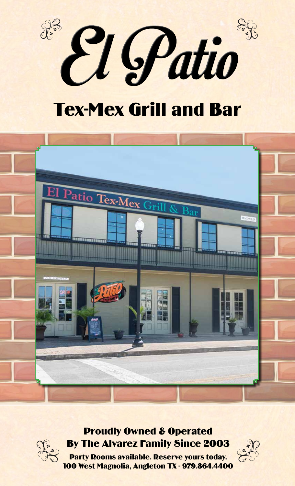

# Tex-Mex Grill and Bar



#### Proudly Owned & Operated By The Alvarez Family Since 2003



Party Rooms available. Reserve yours today. 100 West Magnolia, Angleton TX - 979.864.4400

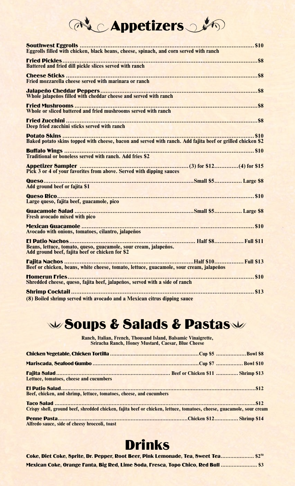# **Appetizers**

| Eggrolls filled with chicken, black beans, cheese, spinach, and corn served with ranch                              |
|---------------------------------------------------------------------------------------------------------------------|
| Battered and fried dill pickle slices served with ranch                                                             |
|                                                                                                                     |
|                                                                                                                     |
|                                                                                                                     |
| <b>Deep fried zucchini sticks served with ranch</b>                                                                 |
| Baked potato skins topped with cheese, bacon and served with ranch. Add fajita beef or grilled chicken \$2          |
|                                                                                                                     |
| Pick 3 or 4 of your favorites from above. Served with dipping sauces                                                |
| Add ground beef or fajita \$1                                                                                       |
| Large queso, fajita beef, guacamole, pico                                                                           |
| Fresh avocado mixed with pico                                                                                       |
| Avocado with onions, tomatoes, cilantro, jalapeños                                                                  |
| Beans, lettuce, tomato, queso, guacamole, sour cream, jalapeños.<br>Add ground beef, fajita beef or chicken for \$2 |
| Beef or chicken, beans, white cheese, tomato, lettuce, guacamole, sour cream, jalapeños                             |
| Shredded cheese, queso, fajita beef, jalapeños, served with a side of ranch                                         |
|                                                                                                                     |

**(8) Boiled shrimp served with avocado and a Mexican citrus dipping sauce**

# W Soups & Salads & PastasW

**Ranch, Italian, French, Thousand Island, Balsamic Vinaigrette, Sriracha Ranch, Honey Mustard, Caesar, Blue Cheese**

| Lettuce, tomatoes, cheese and cucumbers                                                                               |  |
|-----------------------------------------------------------------------------------------------------------------------|--|
|                                                                                                                       |  |
| Beef, chicken, and shrimp, lettuce, tomatoes, cheese, and cucumbers                                                   |  |
| Crispy shell, ground beef, shredded chicken, fajita beef or chicken, lettuce, tomatoes, cheese, guacamole, sour cream |  |
| Alfredo sauce, side of cheesy broccoli, toast                                                                         |  |

## Drinks

| Coke, Diet Coke, Sprite, Dr. Pepper, Root Beer, Pink Lemonade, Tea, Sweet Tea \$250 |  |
|-------------------------------------------------------------------------------------|--|
| Mexican Coke, Orange Fanta, Big Red, Lime Soda, Fresca, Topo Chico, Red Bull  \$3   |  |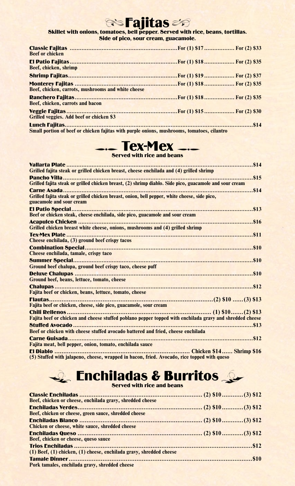#### **Gio Fajitas**

#### Skillet with onions, tomatoes, bell pepper. Served with rice, beans, tortillas. Side of pico, sour cream, guacamole.

| <b>Beef or chicken</b>                                                                     |  |
|--------------------------------------------------------------------------------------------|--|
| Beef, chicken, shrimp                                                                      |  |
|                                                                                            |  |
| Beef, chicken, carrots, mushrooms and white cheese                                         |  |
| Beef, chicken, carrots and bacon                                                           |  |
| <b>Grilled veggies. Add beef or chicken \$3</b>                                            |  |
| Small portion of beef or chicken fajitas with purple onions, mushrooms, tomatoes, cilantro |  |



| Grilled fajita steak or grilled chicken breast, cheese enchilada and (4) grilled shrimp                  |
|----------------------------------------------------------------------------------------------------------|
|                                                                                                          |
| Grilled fajita steak or grilled chicken breast, (2) shrimp diablo. Side pico, guacamole and sour cream   |
|                                                                                                          |
| Grilled fajita steak or grilled chicken breast, onion, bell pepper, white cheese, side pico,             |
| guacamole and sour cream                                                                                 |
|                                                                                                          |
| Beef or chicken steak, cheese enchilada, side pico, guacamole and sour cream                             |
| Grilled chicken breast white cheese, onions, mushrooms and (4) grilled shrimp                            |
|                                                                                                          |
| Cheese enchilada, (3) ground beef crispy tacos                                                           |
|                                                                                                          |
| <b>Cheese enchilada, tamale, crispy taco</b>                                                             |
|                                                                                                          |
| Ground beef chalupa, ground beef crispy taco, cheese puff                                                |
|                                                                                                          |
| Ground beef, beans, lettuce, tomato, cheese                                                              |
|                                                                                                          |
| Fajita beef or chicken, beans, lettuce, tomato, cheese                                                   |
|                                                                                                          |
| Fajita beef or chicken, cheese, side pico, guacamole, sour cream                                         |
|                                                                                                          |
| Fajita beef or chicken and cheese stuffed poblano pepper topped with enchilada gravy and shredded cheese |
|                                                                                                          |
| Beef or chicken with cheese stuffed avocado battered and fried, cheese enchilada                         |
| Carne Guisada                                                                                            |
| Fajita meat, bell pepper, onion, tomato, enchilada sauce                                                 |
|                                                                                                          |

**(5) Stuffed with jalapeno, cheese, wrapped in bacon, fried. Avocado, rice topped with queso**

#### **Enchiladas & Burritos** Served with rice and beans

| Beef, chicken or cheese, enchilada gravy, shredded cheese           |  |
|---------------------------------------------------------------------|--|
|                                                                     |  |
| Beef, chicken or cheese, green sauce, shredded cheese               |  |
|                                                                     |  |
| Chicken or cheese, white sauce, shredded cheese                     |  |
|                                                                     |  |
| Beef, chicken or cheese, queso sauce                                |  |
|                                                                     |  |
| (1) Beef, (1) chicken, (1) cheese, enchilada gravy, shredded cheese |  |
|                                                                     |  |
| Pork tamales, enchilada gravy, shredded cheese                      |  |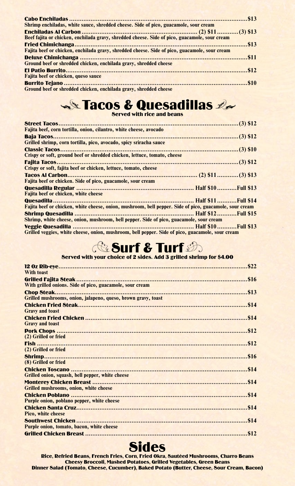| Shrimp enchiladas, white sauce, shredded cheese. Side of pico, guacamole, sour cream          |  |
|-----------------------------------------------------------------------------------------------|--|
|                                                                                               |  |
| Beef fajita or chicken, enchilada gravy, shredded cheese. Side of pico, guacamole, sour cream |  |
|                                                                                               |  |
| Fajita beef or chicken, enchilada gravy, shredded cheese. Side of pico, guacamole, sour cream |  |
|                                                                                               |  |
| Ground beef or shredded chicken, enchilada gravy, shredded cheese                             |  |
|                                                                                               |  |
| Fajita beef or chicken, queso sauce                                                           |  |
|                                                                                               |  |
| Ground beef or shredded chicken, enchilada gravy, shredded cheese                             |  |

## Tacos & Quesadillas

Served with rice and beans

| Fajita beef, corn tortilla, onion, cilantro, white cheese, avocado                                      |  |
|---------------------------------------------------------------------------------------------------------|--|
|                                                                                                         |  |
| Grilled shrimp, corn tortilla, pico, avocado, spicy sriracha sauce                                      |  |
|                                                                                                         |  |
| Crispy or soft, ground beef or shredded chicken, lettuce, tomato, cheese                                |  |
|                                                                                                         |  |
| Crispy or soft, fajita beef or chicken, lettuce, tomato, cheese                                         |  |
|                                                                                                         |  |
| Fajita beef or chicken. Side of pico, guacamole, sour cream                                             |  |
|                                                                                                         |  |
| Fajita beef or chicken, white cheese                                                                    |  |
|                                                                                                         |  |
| Fajita beef or chicken, white cheese, onion, mushroom, bell pepper. Side of pico, guacamole, sour cream |  |
|                                                                                                         |  |
| Shrimp, white cheese, onion, mushroom, bell pepper. Side of pico, guacamole, sour cream                 |  |
|                                                                                                         |  |
| Grilled veggies, white cheese, onion, mushroom, bell pepper. Side of pico, guacamole, sour cream        |  |

### Surf & Turf

#### Served with your choice of 2 sides. Add 3 grilled shrimp for \$4.00

| <b>With toast</b>                                             |  |
|---------------------------------------------------------------|--|
|                                                               |  |
| With grilled onions. Side of pico, guacamole, sour cream      |  |
|                                                               |  |
| Grilled mushrooms, onion, jalapeno, queso, brown gravy, toast |  |
|                                                               |  |
| <b>Gravy and toast</b>                                        |  |
|                                                               |  |
| <b>Gravy and toast</b>                                        |  |
|                                                               |  |
| (2) Grilled or fried                                          |  |
|                                                               |  |
| (2) Grilled or fried                                          |  |
|                                                               |  |
| (8) Grilled or fried                                          |  |
|                                                               |  |
| Grilled onion, squash, bell pepper, white cheese              |  |
|                                                               |  |
| <b>Grilled mushrooms, onion, white cheese</b>                 |  |
|                                                               |  |
| Purple onion, poblano pepper, white cheese                    |  |
|                                                               |  |
| Pico, white cheese                                            |  |
|                                                               |  |
| Purple onion, tomato, bacon, white cheese                     |  |
|                                                               |  |
|                                                               |  |

#### **Sides**

Rice, Refried Beans, French Fries, Corn, Fried Okra, Sautéed Mushrooms, Charro Beans Cheesy Broccoli, Mashed Potatoes, Grilled Vegetables, Green Beans Dinner Salad (Tomato, Cheese, Cucumber), Baked Potato (Butter, Cheese, Sour Cream, Bacon)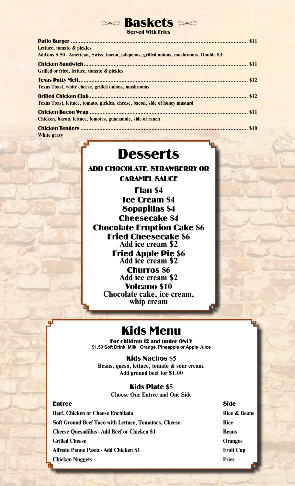#### **Baskets Served With Fries**

| Lettuce, tomato & pickles                                                                                      |  |
|----------------------------------------------------------------------------------------------------------------|--|
| Add-ons \$.50 - American, Swiss, bacon, jalapenos, grilled onions, mushrooms. Double \$3                       |  |
|                                                                                                                |  |
| Grilled or fried, lettuce, tomato & pickles                                                                    |  |
|                                                                                                                |  |
| <b>Texas Toast, white cheese, grilled onions, mushrooms</b>                                                    |  |
|                                                                                                                |  |
| Texas Toast, lettuce, tomato, pickles, cheese, bacon, side of honey mustard                                    |  |
|                                                                                                                |  |
| Chicken, bacon, lettuce, tomotes, guacamole, side of ranch                                                     |  |
|                                                                                                                |  |
| White gravy and the state of the state of the state of the state of the state of the state of the state of the |  |

### **Desserts**

ADD CHOCOLATE, STRAWBERRY OR CARAMEL SAUCE

Flan **\$4** Ice Cream **\$4** Sopapillas **\$4** Cheesecake **\$4** Chocolate Eruption Cake **\$6** Fried Cheesecake **\$6 Add ice cream \$2** Fried Apple Pie **\$6 Add ice cream \$2** Churros **\$6 Add ice cream \$2** Volcano **\$10 Chocolate cake, ice cream, whip cream**

#### Kids Menu

For children 12 and under ONLY **\$1.50 Soft Drink, Milk, Orange, Pineapple or Apple Juice**

Kids Nachos **\$5 Beans, queso, lettuce, tomato & sour cream. Add ground beef for \$1.00**

#### Kids Plate **\$5**

**Choose One Entree and One Side**

#### Entree Side

**Beef, Chicken or Cheese Enchilada Rice & Beans Soft Ground Beef Taco with Lettuce, Tomatoes, Cheese Rice Cheese Ouesadillas - Add Beef or Chicken \$1 Beans Grilled Cheese Oranges Alfredo Penne Pasta - Add Chicken \$1 Fruit Cup Chicken Nuggets Fries**